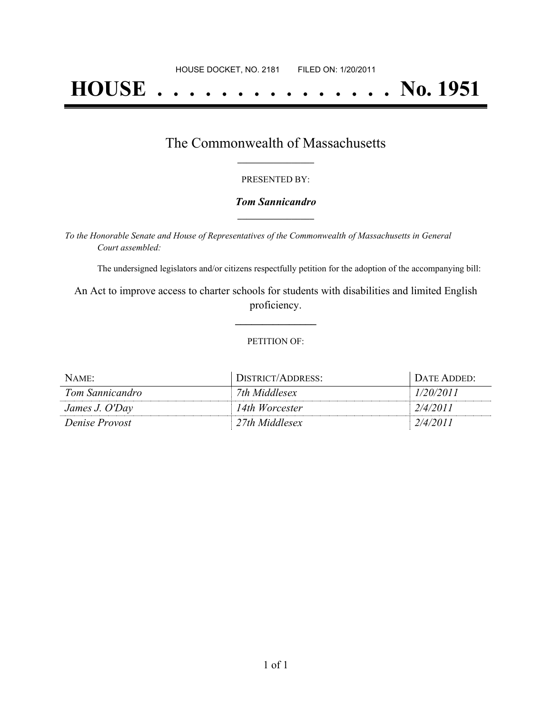# **HOUSE . . . . . . . . . . . . . . . No. 1951**

### The Commonwealth of Massachusetts **\_\_\_\_\_\_\_\_\_\_\_\_\_\_\_\_\_**

#### PRESENTED BY:

#### *Tom Sannicandro* **\_\_\_\_\_\_\_\_\_\_\_\_\_\_\_\_\_**

*To the Honorable Senate and House of Representatives of the Commonwealth of Massachusetts in General Court assembled:*

The undersigned legislators and/or citizens respectfully petition for the adoption of the accompanying bill:

An Act to improve access to charter schools for students with disabilities and limited English proficiency.

**\_\_\_\_\_\_\_\_\_\_\_\_\_\_\_**

#### PETITION OF:

| NAME:           | DISTRICT/ADDRESS: | DATE ADDED: |
|-----------------|-------------------|-------------|
| Tom Sannicandro | 7th Middlesex     | 1/20/2011   |
| James J. O'Day  | 14th Worcester    | 2/4/2011    |
| Denise Provost  | 27th Middlesex    | 2/4/2011    |